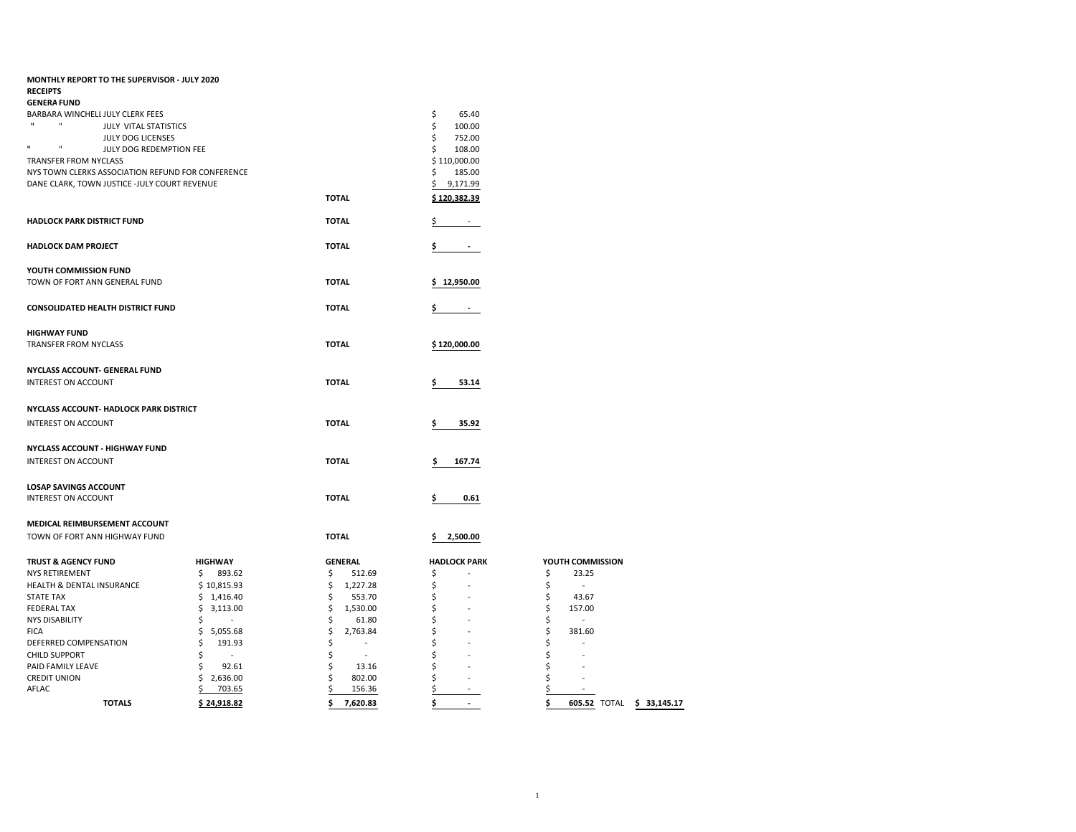| <b>MONTHLY REPORT TO THE SUPERVISOR - JULY 2020</b>                                       |                 |                |                                |                                 |  |  |  |
|-------------------------------------------------------------------------------------------|-----------------|----------------|--------------------------------|---------------------------------|--|--|--|
| <b>RECEIPTS</b>                                                                           |                 |                |                                |                                 |  |  |  |
| <b>GENERA FUND</b>                                                                        |                 |                |                                |                                 |  |  |  |
| BARBARA WINCHELL JULY CLERK FEES<br>$\mathbf{H}$<br>$\mathbf{u}$<br>JULY VITAL STATISTICS |                 |                | \$<br>65.40<br>\$<br>100.00    |                                 |  |  |  |
| JULY DOG LICENSES                                                                         |                 |                | \$<br>752.00                   |                                 |  |  |  |
| $\mathbf{u}$<br>п<br>JULY DOG REDEMPTION FEE                                              |                 |                | \$<br>108.00                   |                                 |  |  |  |
| <b>TRANSFER FROM NYCLASS</b>                                                              |                 |                | \$110,000.00                   |                                 |  |  |  |
| NYS TOWN CLERKS ASSOCIATION REFUND FOR CONFERENCE                                         |                 |                | \$<br>185.00                   |                                 |  |  |  |
| DANE CLARK, TOWN JUSTICE -JULY COURT REVENUE                                              |                 |                | \$<br>9,171.99                 |                                 |  |  |  |
|                                                                                           |                 | <b>TOTAL</b>   | \$120,382.39                   |                                 |  |  |  |
|                                                                                           |                 |                |                                |                                 |  |  |  |
| <b>HADLOCK PARK DISTRICT FUND</b>                                                         |                 | <b>TOTAL</b>   | \$                             |                                 |  |  |  |
| <b>HADLOCK DAM PROJECT</b>                                                                |                 | <b>TOTAL</b>   | \$<br>$\sim$                   |                                 |  |  |  |
| YOUTH COMMISSION FUND                                                                     |                 |                |                                |                                 |  |  |  |
| TOWN OF FORT ANN GENERAL FUND                                                             |                 | <b>TOTAL</b>   | \$12,950.00                    |                                 |  |  |  |
|                                                                                           |                 |                |                                |                                 |  |  |  |
| <b>CONSOLIDATED HEALTH DISTRICT FUND</b>                                                  |                 | <b>TOTAL</b>   | \$<br>$\overline{\phantom{a}}$ |                                 |  |  |  |
| <b>HIGHWAY FUND</b>                                                                       |                 |                |                                |                                 |  |  |  |
| <b>TRANSFER FROM NYCLASS</b>                                                              |                 | <b>TOTAL</b>   | \$120,000.00                   |                                 |  |  |  |
|                                                                                           |                 |                |                                |                                 |  |  |  |
| NYCLASS ACCOUNT- GENERAL FUND                                                             |                 |                |                                |                                 |  |  |  |
| <b>INTEREST ON ACCOUNT</b>                                                                |                 | <b>TOTAL</b>   | \$<br>53.14                    |                                 |  |  |  |
| NYCLASS ACCOUNT- HADLOCK PARK DISTRICT                                                    |                 |                |                                |                                 |  |  |  |
|                                                                                           |                 |                |                                |                                 |  |  |  |
| <b>INTEREST ON ACCOUNT</b>                                                                |                 | <b>TOTAL</b>   | \$<br>35.92                    |                                 |  |  |  |
| <b>NYCLASS ACCOUNT - HIGHWAY FUND</b>                                                     |                 |                |                                |                                 |  |  |  |
| <b>INTEREST ON ACCOUNT</b>                                                                |                 | <b>TOTAL</b>   | 167.74<br>\$                   |                                 |  |  |  |
|                                                                                           |                 |                |                                |                                 |  |  |  |
| <b>LOSAP SAVINGS ACCOUNT</b>                                                              |                 |                |                                |                                 |  |  |  |
| <b>INTEREST ON ACCOUNT</b>                                                                |                 | <b>TOTAL</b>   | \$<br>0.61                     |                                 |  |  |  |
|                                                                                           |                 |                |                                |                                 |  |  |  |
| MEDICAL REIMBURSEMENT ACCOUNT                                                             |                 |                |                                |                                 |  |  |  |
| TOWN OF FORT ANN HIGHWAY FUND                                                             |                 | <b>TOTAL</b>   | 2,500.00<br>\$                 |                                 |  |  |  |
| <b>TRUST &amp; AGENCY FUND</b>                                                            | <b>HIGHWAY</b>  | <b>GENERAL</b> | <b>HADLOCK PARK</b>            | YOUTH COMMISSION                |  |  |  |
| <b>NYS RETIREMENT</b>                                                                     | \$<br>893.62    | \$<br>512.69   | \$                             | \$<br>23.25                     |  |  |  |
| HEALTH & DENTAL INSURANCE                                                                 | \$10,815.93     | \$<br>1,227.28 | \$                             | \$<br>$\sim$                    |  |  |  |
| <b>STATE TAX</b>                                                                          | \$1,416.40      | \$<br>553.70   | \$                             | \$<br>43.67                     |  |  |  |
| <b>FEDERAL TAX</b>                                                                        | 3,113.00<br>\$. | \$<br>1,530.00 | \$                             | \$<br>157.00                    |  |  |  |
| <b>NYS DISABILITY</b>                                                                     | S<br>$\omega$   | \$<br>61.80    | \$                             | Ś<br>$\sim$                     |  |  |  |
| <b>FICA</b>                                                                               | \$<br>5,055.68  | \$<br>2,763.84 | \$                             | Ś<br>381.60                     |  |  |  |
| DEFERRED COMPENSATION                                                                     | \$<br>191.93    | \$<br>$\sim$   | \$                             | Ś<br>÷                          |  |  |  |
| <b>CHILD SUPPORT</b>                                                                      | Ś<br>$\omega$   | \$<br>$\sim$   | \$                             | S                               |  |  |  |
| PAID FAMILY LEAVE                                                                         | \$<br>92.61     | \$<br>13.16    | \$                             | Ś                               |  |  |  |
| <b>CREDIT UNION</b>                                                                       | \$2,636.00      | \$<br>802.00   | \$                             | S                               |  |  |  |
| AFLAC                                                                                     | 703.65          | Ś<br>156.36    | \$                             | $\overline{\phantom{a}}$        |  |  |  |
| <b>TOTALS</b>                                                                             | \$24,918.82     | \$<br>7,620.83 | \$<br>÷.                       | \$<br>605.52 TOTAL \$ 33,145.17 |  |  |  |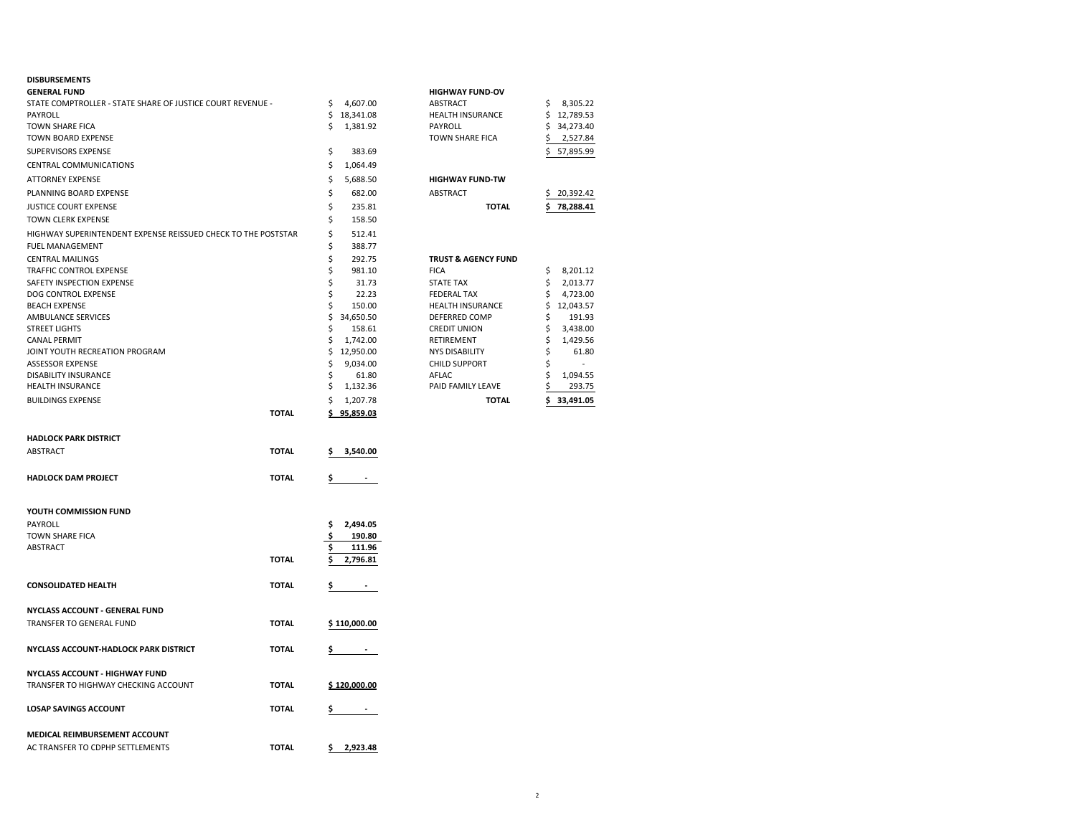### **DISBURSEMENTS**

| <b>GENERAL FUND</b>                                           |              |                       | <b>HIGHWAY FUND-OV</b>         |                  |
|---------------------------------------------------------------|--------------|-----------------------|--------------------------------|------------------|
| STATE COMPTROLLER - STATE SHARE OF JUSTICE COURT REVENUE -    |              | 4,607.00<br>\$        | ABSTRACT                       | \$<br>8,305.22   |
| PAYROLL                                                       |              | \$18,341.08           | <b>HEALTH INSURANCE</b>        | \$12,789.53      |
| TOWN SHARE FICA                                               |              | \$<br>1,381.92        | PAYROLL                        | \$34,273.40      |
| TOWN BOARD EXPENSE                                            |              |                       | <b>TOWN SHARE FICA</b>         | 2,527.84<br>Ş    |
| SUPERVISORS EXPENSE                                           |              | \$<br>383.69          |                                | 57,895.99<br>\$  |
| CENTRAL COMMUNICATIONS                                        |              | \$<br>1,064.49        |                                |                  |
| <b>ATTORNEY EXPENSE</b>                                       |              | \$<br>5,688.50        | <b>HIGHWAY FUND-TW</b>         |                  |
|                                                               |              | \$                    | ABSTRACT                       |                  |
| PLANNING BOARD EXPENSE                                        |              | 682.00                |                                | 20,392.42<br>\$. |
| <b>JUSTICE COURT EXPENSE</b>                                  |              | \$<br>235.81          | <b>TOTAL</b>                   | 78,288.41<br>\$  |
| <b>TOWN CLERK EXPENSE</b>                                     |              | \$<br>158.50          |                                |                  |
| HIGHWAY SUPERINTENDENT EXPENSE REISSUED CHECK TO THE POSTSTAR |              | \$<br>512.41          |                                |                  |
| <b>FUEL MANAGEMENT</b>                                        |              | \$<br>388.77          |                                |                  |
| <b>CENTRAL MAILINGS</b>                                       |              | \$<br>292.75          | <b>TRUST &amp; AGENCY FUND</b> |                  |
| TRAFFIC CONTROL EXPENSE                                       |              | \$<br>981.10          | <b>FICA</b>                    | \$<br>8,201.12   |
| SAFETY INSPECTION EXPENSE                                     |              | \$<br>31.73           | <b>STATE TAX</b>               | \$<br>2,013.77   |
| DOG CONTROL EXPENSE                                           |              | \$<br>22.23           | <b>FEDERAL TAX</b>             | \$<br>4,723.00   |
| <b>BEACH EXPENSE</b>                                          |              | \$<br>150.00          | HEALTH INSURANCE               | \$12,043.57      |
| AMBULANCE SERVICES                                            |              | \$<br>34,650.50       | DEFERRED COMP                  | 191.93<br>\$     |
| <b>STREET LIGHTS</b>                                          |              | \$<br>158.61          | <b>CREDIT UNION</b>            | \$<br>3,438.00   |
| <b>CANAL PERMIT</b>                                           |              | \$<br>1,742.00        | RETIREMENT                     | \$<br>1,429.56   |
| JOINT YOUTH RECREATION PROGRAM                                |              | \$<br>12,950.00       | <b>NYS DISABILITY</b>          | \$<br>61.80      |
| <b>ASSESSOR EXPENSE</b>                                       |              | \$<br>9,034.00        | <b>CHILD SUPPORT</b>           | Ś                |
| DISABILITY INSURANCE                                          |              | \$<br>61.80           | AFLAC                          | \$<br>1,094.55   |
| <b>HEALTH INSURANCE</b>                                       |              | \$<br>1,132.36        | PAID FAMILY LEAVE              | \$<br>293.75     |
| <b>BUILDINGS EXPENSE</b>                                      |              | \$<br>1,207.78        | <b>TOTAL</b>                   | \$.<br>33,491.05 |
|                                                               | <b>TOTAL</b> | 95,859.03             |                                |                  |
|                                                               |              |                       |                                |                  |
| <b>HADLOCK PARK DISTRICT</b>                                  |              |                       |                                |                  |
| ABSTRACT                                                      | <b>TOTAL</b> | 3,540.00<br>\$        |                                |                  |
|                                                               |              |                       |                                |                  |
| <b>HADLOCK DAM PROJECT</b>                                    | <b>TOTAL</b> | \$.<br>$\blacksquare$ |                                |                  |
|                                                               |              |                       |                                |                  |
| YOUTH COMMISSION FUND                                         |              |                       |                                |                  |
| PAYROLL                                                       |              | \$<br>2,494.05        |                                |                  |
| <b>TOWN SHARE FICA</b>                                        |              | \$<br>190.80          |                                |                  |
| ABSTRACT                                                      |              | Ś<br>111.96           |                                |                  |
|                                                               | <b>TOTAL</b> | \$<br>2,796.81        |                                |                  |
|                                                               |              |                       |                                |                  |
| <b>CONSOLIDATED HEALTH</b>                                    | <b>TOTAL</b> | \$<br>٠.              |                                |                  |
|                                                               |              |                       |                                |                  |
| NYCLASS ACCOUNT - GENERAL FUND                                |              |                       |                                |                  |
|                                                               |              |                       |                                |                  |
| TRANSFER TO GENERAL FUND                                      | <b>TOTAL</b> | \$110,000.00          |                                |                  |
|                                                               |              |                       |                                |                  |
| NYCLASS ACCOUNT-HADLOCK PARK DISTRICT                         | <b>TOTAL</b> | \$<br>$\sim$          |                                |                  |
|                                                               |              |                       |                                |                  |
| NYCLASS ACCOUNT - HIGHWAY FUND                                |              |                       |                                |                  |
| TRANSFER TO HIGHWAY CHECKING ACCOUNT                          | <b>TOTAL</b> | \$120,000.00          |                                |                  |
| <b>LOSAP SAVINGS ACCOUNT</b>                                  | <b>TOTAL</b> | $\sim$ $-$            |                                |                  |
|                                                               |              | \$                    |                                |                  |
|                                                               |              |                       |                                |                  |
| MEDICAL REIMBURSEMENT ACCOUNT                                 |              |                       |                                |                  |
| AC TRANSFER TO CDPHP SETTLEMENTS                              | <b>TOTAL</b> | \$.<br>2,923.48       |                                |                  |